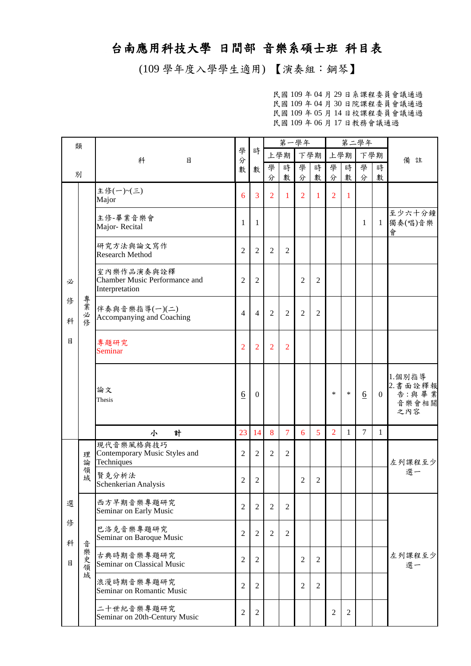## 台南應用科技大學 日間部 音樂系碩士班 科目表

(109 學年度入學學生適用) 【演奏組:鋼琴】

民國 109 年 04 月 29 日系課程委員會議通過 民國 109 年 04 月 30 日院課程委員會議通過 民國 109 年 05 月 14 日校課程委員會議通過 民國 109 年 06 月 17 日教務會議通過

| 類                |              |                                                               |                          |                  | 第一學年           |                |                |                |                |                | 第二學年            |                |                                             |
|------------------|--------------|---------------------------------------------------------------|--------------------------|------------------|----------------|----------------|----------------|----------------|----------------|----------------|-----------------|----------------|---------------------------------------------|
|                  |              | 科<br>目                                                        | 學<br>分                   | 時                | 上學期            |                | 下學期            |                | 上學期            |                | 下學期             |                | 備註                                          |
| 別                |              |                                                               | 數                        | 數                | 學<br>分         | 時<br>數         | 學<br>分         | 時<br>數         | 學<br>分         | 時<br>數         | 學<br>分          | 時<br>數         |                                             |
|                  |              | 主修(一)~(三)<br>Major                                            | 6                        | 3                | $\overline{2}$ | 1              | $\overline{2}$ | 1              | $\overline{2}$ | 1              |                 |                |                                             |
| 必<br>修<br>科<br>目 |              | 主修-畢業音樂會<br>Major-Recital                                     | 1                        | 1                |                |                |                |                |                |                | 1               | $\mathbf{1}$   | 至少六十分鐘<br>獨奏(唱)音樂<br>會                      |
|                  |              | 研究方法與論文寫作<br><b>Research Method</b>                           | $\overline{2}$           | $\overline{2}$   | $\overline{2}$ | $\overline{2}$ |                |                |                |                |                 |                |                                             |
|                  |              | 室內樂作品演奏與詮釋<br>Chamber Music Performance and<br>Interpretation | $\overline{2}$           | $\overline{2}$   |                |                | $\overline{2}$ | $\overline{2}$ |                |                |                 |                |                                             |
|                  | 專業<br>必<br>修 | 伴奏與音樂指導(一)(二)<br>Accompanying and Coaching                    | $\overline{\mathcal{A}}$ | $\overline{4}$   | 2              | $\overline{2}$ | $\overline{2}$ | $\overline{2}$ |                |                |                 |                |                                             |
|                  |              | 專題研究<br><b>Seminar</b>                                        | $\overline{2}$           | $\overline{2}$   | $\overline{2}$ | $\overline{2}$ |                |                |                |                |                 |                |                                             |
|                  |              | 論文<br>Thesis                                                  | $6\overline{6}$          | $\mathbf{0}$     |                |                |                |                | $\ast$         | $\ast$         | $\underline{6}$ | $\overline{0}$ | 1.個別指導<br>2. 書面詮釋報<br>告:與畢業<br>音樂會相關<br>之內容 |
|                  |              | 計<br>小                                                        | 23                       | 14               | 8              | 7              | 6              | 5              | $\overline{2}$ | 1              | 7               | 1              |                                             |
|                  | 理<br>論       | 現代音樂風格與技巧<br>Contemporary Music Styles and<br>Techniques      | $\overline{2}$           | $\overline{2}$   | $\overline{2}$ | $\overline{2}$ |                |                |                |                |                 |                | 左列課程至少                                      |
|                  | 領域           | 賢克分析法<br>Schenkerian Analysis                                 | $\overline{c}$           | $\overline{c}$   |                |                | 2              | $\overline{c}$ |                |                |                 |                | 選一                                          |
| 選                |              | 西方早期音樂專題研究<br>Seminar on Early Music                          | $\overline{2}$           | $\overline{2}$   | $\overline{2}$ | $\overline{2}$ |                |                |                |                |                 |                |                                             |
| 俢<br>科           | 音            | 巴洛克音樂專題研究<br>Seminar on Baroque Music                         | $\mathfrak{2}$           | $\mathfrak{2}$   | 2              | $\overline{2}$ |                |                |                |                |                 |                |                                             |
| 目                | 樂史領          | 古典時期音樂專題研究<br>Seminar on Classical Music                      | $\overline{2}$           | $\overline{2}$   |                |                | $\overline{2}$ | $\overline{2}$ |                |                |                 |                | 左列課程至少<br>選一                                |
|                  | 域            | 浪漫時期音樂專題研究<br>Seminar on Romantic Music                       | $\overline{2}$           | 2                |                |                | $\overline{2}$ | $\overline{2}$ |                |                |                 |                |                                             |
|                  |              | 二十世紀音樂專題研究<br>Seminar on 20th-Century Music                   | $\overline{c}$           | $\boldsymbol{2}$ |                |                |                |                | $\overline{c}$ | $\mathfrak{2}$ |                 |                |                                             |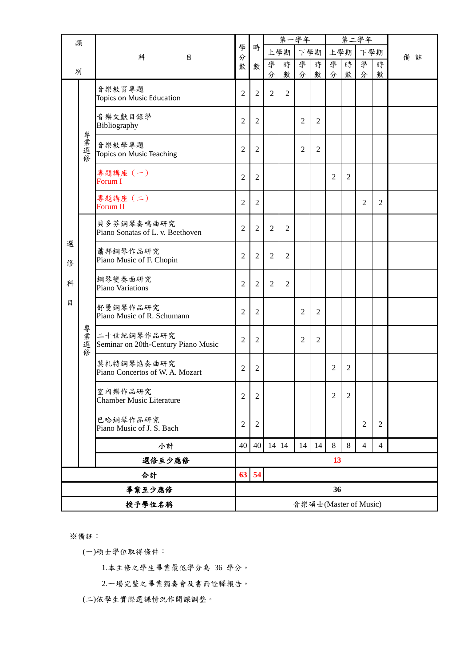| 類      |        |                                                   |                | 時              | 第一學年           |                |                |                |                |                | 第二學年                  |                |    |
|--------|--------|---------------------------------------------------|----------------|----------------|----------------|----------------|----------------|----------------|----------------|----------------|-----------------------|----------------|----|
|        |        | 科<br>目                                            | 學<br>分         |                |                | 上學期            | 下學期            |                |                | 上學期            | 下學期                   |                | 備註 |
| 別      |        |                                                   | 數              | 數              | 學<br>分         | 時<br>數         | 學<br>分         | 時<br>數         | 學<br>分         | 時<br>數         | 學<br>分                | 時<br>數         |    |
|        |        | 音樂教育專題<br>Topics on Music Education               | $\overline{2}$ | $\overline{2}$ | $\overline{2}$ | $\overline{2}$ |                |                |                |                |                       |                |    |
|        |        | 音樂文獻目錄學<br>Bibliography                           | $\overline{2}$ | $\overline{2}$ |                |                | $\overline{2}$ | 2              |                |                |                       |                |    |
|        | 專業選修   | 音樂教學專題<br>Topics on Music Teaching                | 2              | $\overline{2}$ |                |                | $\overline{2}$ | $\overline{2}$ |                |                |                       |                |    |
|        |        | 專題講座 (一)<br>Forum I                               | $\overline{2}$ | 2              |                |                |                |                | $\overline{2}$ | 2              |                       |                |    |
|        |        | 專題講座 (二)<br><b>Forum II</b>                       | $\overline{2}$ | $\overline{2}$ |                |                |                |                |                |                | $\overline{2}$        | $\overline{2}$ |    |
|        |        | 貝多芬鋼琴奏鳴曲研究<br>Piano Sonatas of L. v. Beethoven    | $\overline{2}$ | $\overline{2}$ | $\overline{2}$ | $\overline{2}$ |                |                |                |                |                       |                |    |
| 選<br>俢 |        | 蕭邦鋼琴作品研究<br>Piano Music of F. Chopin              | $\overline{2}$ | $\overline{2}$ | $\overline{2}$ | $\overline{2}$ |                |                |                |                |                       |                |    |
| 科      |        | 鋼琴變奏曲研究<br>Piano Variations                       | $\overline{2}$ | $\overline{2}$ | $\overline{2}$ | $\overline{2}$ |                |                |                |                |                       |                |    |
| 目      |        | 舒曼鋼琴作品研究<br>Piano Music of R. Schumann            | $\overline{2}$ | $\overline{2}$ |                |                | $\overline{2}$ | $\overline{2}$ |                |                |                       |                |    |
|        | 專業選修   | 二十世紀鋼琴作品研究<br>Seminar on 20th-Century Piano Music | 2              | $\overline{2}$ |                |                | $\overline{2}$ | $\overline{2}$ |                |                |                       |                |    |
|        |        | 莫札特鋼琴協奏曲研究<br>Piano Concertos of W. A. Mozart     | $\overline{2}$ | $\overline{2}$ |                |                |                |                | $\overline{2}$ | $\mathfrak{2}$ |                       |                |    |
|        |        | 室內樂作品研究<br><b>Chamber Music Literature</b>        | 2              | $\overline{c}$ |                |                |                |                | $\overline{2}$ | $\overline{c}$ |                       |                |    |
|        |        | 巴哈鋼琴作品研究<br>Piano Music of J. S. Bach             | 2              | $\overline{2}$ |                |                |                |                |                |                | 2                     | $\overline{2}$ |    |
|        |        | 小計                                                | 40             | 40             | 14 14          |                | 14             | 14             | $\,8\,$        | 8              | $\overline{4}$        | 4              |    |
|        |        | 選修至少應修                                            |                |                |                |                |                |                | 13             |                |                       |                |    |
|        | 合計     |                                                   |                | 63 54          |                |                |                |                |                |                |                       |                |    |
|        | 畢業至少應修 |                                                   |                |                |                |                |                |                | 36             |                |                       |                |    |
|        | 授予學位名稱 |                                                   |                |                |                |                |                |                |                |                | 音樂碩士(Master of Music) |                |    |

※備註:

(一)碩士學位取得條件:

1.本主修之學生畢業最低學分為 36 學分。

2.一場完整之畢業獨奏會及書面詮釋報告。

(二)依學生實際選課情況作開課調整。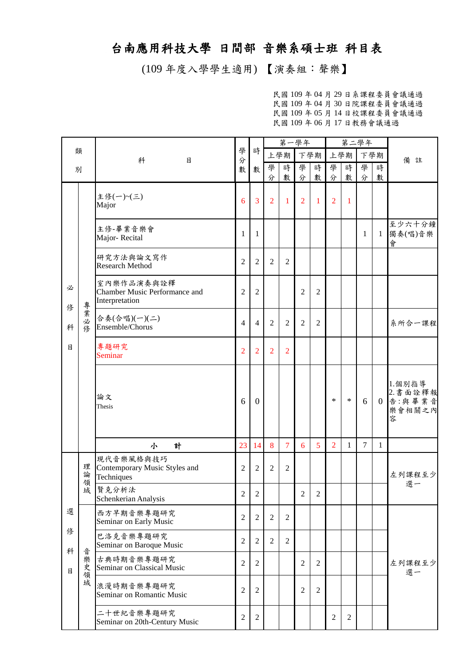## 台南應用科技大學 日間部 音樂系碩士班 科目表

(109 年度入學學生適用) 【演奏組:聲樂】

民國 109 年 04 月 29 日系課程委員會議通過 民國 109 年 04 月 30 日院課程委員會議通過 民國 109 年 05 月 14 日校課程委員會議通過 民國 109 年 06 月 17 日教務會議通過

|        |           |                                                                      |                |                  | 第一學年           |                |                |                |                |                | 第二學年           |                |                                             |
|--------|-----------|----------------------------------------------------------------------|----------------|------------------|----------------|----------------|----------------|----------------|----------------|----------------|----------------|----------------|---------------------------------------------|
| 類      |           | 科<br>目                                                               | 學<br>分         | 時                |                | 上學期            |                | 下學期            |                | 上學期            | 下學期            |                | 備註                                          |
| 別      |           |                                                                      | 數              | 數                | 學<br>分         | 時<br>數         | 學<br>分         | 時<br>數         | 學<br>分         | 時<br>數         | 學<br>分         | 時<br>數         |                                             |
|        |           | 主修(一)~(三)<br>Major                                                   | 6              | $\overline{3}$   | $\overline{2}$ | $\mathbf{1}$   | $\overline{2}$ | $\mathbf{1}$   | $\overline{2}$ | $\overline{1}$ |                |                |                                             |
|        |           | 主修-畢業音樂會<br>Major-Recital                                            | 1              | 1                |                |                |                |                |                |                | 1              | $\mathbf{1}$   | 至少六十分鐘<br>獨奏(唱)音樂<br>會                      |
|        |           | 研究方法與論文寫作<br><b>Research Method</b>                                  | $\overline{2}$ | $\overline{2}$   | $\overline{2}$ | $\overline{2}$ |                |                |                |                |                |                |                                             |
| 必<br>俢 |           | 室內樂作品演奏與詮釋<br><b>Chamber Music Performance and</b><br>Interpretation | $\overline{2}$ | $\overline{2}$   |                |                | $\overline{2}$ | $\overline{2}$ |                |                |                |                |                                             |
| 科      | 專業<br>一必修 | 合奏(合唱)(一)(二)<br>Ensemble/Chorus                                      | 4              | $\overline{4}$   | $\overline{2}$ | $\overline{2}$ | $\overline{2}$ | $\overline{2}$ |                |                |                |                | 系所合一課程                                      |
| 目      |           | 專題研究<br><b>Seminar</b>                                               | $\overline{2}$ | $\overline{2}$   | $\overline{2}$ | $\overline{2}$ |                |                |                |                |                |                |                                             |
|        |           | 論文<br>Thesis                                                         | 6              | $\boldsymbol{0}$ |                |                |                |                | $\ast$         | $\ast$         | 6              | $\overline{0}$ | 1.個別指導<br>2. 書面詮釋報<br>告:與畢業音<br>樂會相關之內<br>容 |
|        |           | 計<br>小                                                               | 23             | 14               | 8              | 7              | 6              | $\overline{5}$ | 2              | $\mathbf{1}$   | $\overline{7}$ | $\mathbf{1}$   |                                             |
|        | 理<br>論    | 現代音樂風格與技巧<br>Contemporary Music Styles and<br>Techniques             | $\overline{2}$ | $\overline{2}$   | $\overline{2}$ | $\overline{2}$ |                |                |                |                |                |                | 左列課程至少                                      |
|        | 領域        | 賢克分析法<br>Schenkerian Analysis                                        | $\overline{c}$ | $\mathfrak{2}$   |                |                | $\overline{2}$ | $\overline{2}$ |                |                |                |                | 選一                                          |
| 選      |           | 西方早期音樂專題研究<br>Seminar on Early Music                                 | $\overline{2}$ | $\overline{2}$   | $\overline{2}$ | $\overline{2}$ |                |                |                |                |                |                |                                             |
| 俢<br>科 | 音         | 巴洛克音樂專題研究<br>Seminar on Baroque Music                                | $\mathfrak{2}$ | $\overline{2}$   | $\overline{2}$ | $\overline{2}$ |                |                |                |                |                |                |                                             |
| 目      | 樂<br>史領   | 古典時期音樂專題研究<br>Seminar on Classical Music                             | $\overline{2}$ | 2                |                |                | $\overline{2}$ | $\overline{2}$ |                |                |                |                | 左列課程至少<br>選一                                |
|        | 域         | 浪漫時期音樂專題研究<br>Seminar on Romantic Music                              | $\overline{2}$ | $\overline{2}$   |                |                | $\overline{2}$ | $\overline{2}$ |                |                |                |                |                                             |
|        |           | 二十世紀音樂專題研究<br>Seminar on 20th-Century Music                          | $\overline{c}$ | $\overline{2}$   |                |                |                |                | $\mathfrak{2}$ | $\mathfrak{2}$ |                |                |                                             |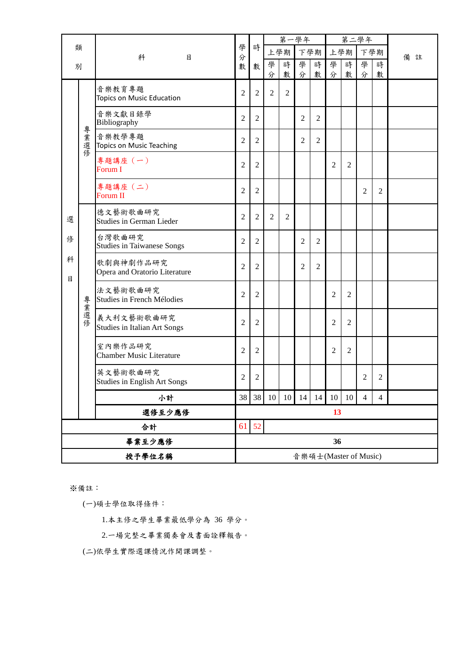|        |        |                                                 |                |                | 第一學年           |                |                |                |                |                | 第二學年                  |                |    |  |
|--------|--------|-------------------------------------------------|----------------|----------------|----------------|----------------|----------------|----------------|----------------|----------------|-----------------------|----------------|----|--|
| 類      |        | 科<br>目                                          | 學<br>分         | 時              |                | 上學期            | 下學期            |                |                | 上學期            |                       | 下學期            | 備註 |  |
| 別      |        |                                                 | 數              | 數              | 學<br>分         | 時<br>數         | 學<br>分         | 時<br>數         | 學<br>分         | 時<br>數         | 學<br>分                | 時<br>數         |    |  |
|        |        | 音樂教育專題<br>Topics on Music Education             | $\overline{2}$ | $\overline{2}$ | $\overline{2}$ | $\overline{2}$ |                |                |                |                |                       |                |    |  |
|        |        | 音樂文獻目錄學<br>Bibliography                         | $\overline{2}$ | $\overline{2}$ |                |                | $\overline{2}$ | $\mathfrak{2}$ |                |                |                       |                |    |  |
|        | 專業選修   | 音樂教學專題<br>Topics on Music Teaching              | $\overline{2}$ | $\overline{2}$ |                |                | $\overline{2}$ | 2              |                |                |                       |                |    |  |
|        |        | 專題講座 (一)<br>Forum I                             | $\overline{2}$ | $\overline{2}$ |                |                |                |                | $\overline{2}$ | $\overline{2}$ |                       |                |    |  |
|        |        | 專題講座 (二)<br><b>Forum II</b>                     | $\overline{2}$ | $\overline{2}$ |                |                |                |                |                |                | $\overline{2}$        | $\overline{2}$ |    |  |
| 選      |        | 德文藝術歌曲研究<br><b>Studies in German Lieder</b>     | $\overline{2}$ | $\overline{2}$ | $\overline{2}$ | $\overline{2}$ |                |                |                |                |                       |                |    |  |
| 俢      |        | 台灣歌曲研究<br><b>Studies in Taiwanese Songs</b>     | $\overline{2}$ | $\overline{2}$ |                |                | $\overline{2}$ | $\mathfrak{2}$ |                |                |                       |                |    |  |
| 科<br>目 |        | 歌劇與神劇作品研究<br>Opera and Oratorio Literature      | $\overline{2}$ | $\overline{2}$ |                |                | $\overline{2}$ | $\overline{c}$ |                |                |                       |                |    |  |
|        |        | 法文藝術歌曲研究<br>Studies in French Mélodies          | $\overline{2}$ | $\overline{2}$ |                |                |                |                | 2              | $\overline{2}$ |                       |                |    |  |
|        | 專業選修   | 義大利文藝術歌曲研究<br>Studies in Italian Art Songs      | $\overline{2}$ | $\overline{2}$ |                |                |                |                | $\overline{2}$ | $\overline{2}$ |                       |                |    |  |
|        |        | 室內樂作品研究<br><b>Chamber Music Literature</b>      | $\overline{2}$ | $\overline{2}$ |                |                |                |                | $\overline{2}$ | $\overline{2}$ |                       |                |    |  |
|        |        | 英文藝術歌曲研究<br><b>Studies in English Art Songs</b> | $\sqrt{2}$     | $\overline{2}$ |                |                |                |                |                |                | 2                     | $\overline{2}$ |    |  |
|        |        | 小計                                              | 38             | 38             | 10             | 10             | 14             | 14             | 10             | 10             | $\overline{4}$        | $\overline{4}$ |    |  |
|        |        | 選修至少應修                                          |                |                |                |                |                |                | 13             |                |                       |                |    |  |
|        | 合計     |                                                 | 61             | 52             |                |                |                |                |                |                |                       |                |    |  |
|        | 畢業至少應修 |                                                 |                | 36             |                |                |                |                |                |                |                       |                |    |  |
| 授予學位名稱 |        |                                                 |                |                |                |                |                |                |                |                | 音樂碩士(Master of Music) |                |    |  |

※備註:

(一)碩士學位取得條件:

1.本主修之學生畢業最低學分為 36 學分。

2.一場完整之畢業獨奏會及書面詮釋報告。

(二)依學生實際選課情況作開課調整。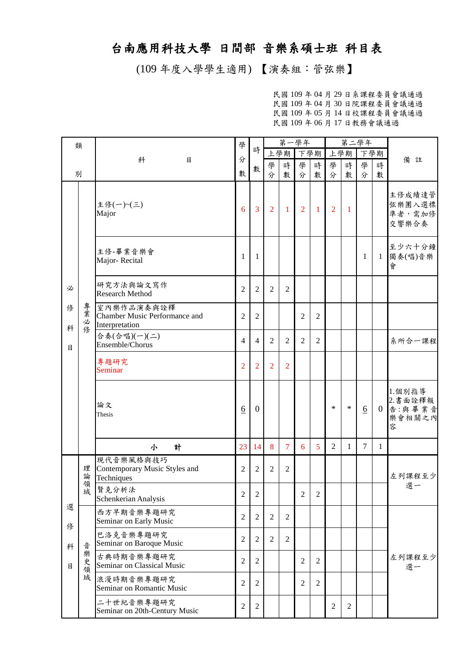## 台南應用科技大學 日間部 音樂系碩士班 科目表

(109 年度入學學生適用) 【演奏組:管弦樂】

民國 109 年 04 月 29 日系課程委員會議通過 民國 109 年 04 月 30 日院課程委員會議通過 民國 109 年 05 月 14 日校課程委員會議通過 民國 109 年 06 月 17 日教務會議通過

| 類      |          |                                                               | 學               |                  | 第一學年           |                |                |                |                |              | 第二學年            |                |                                            |
|--------|----------|---------------------------------------------------------------|-----------------|------------------|----------------|----------------|----------------|----------------|----------------|--------------|-----------------|----------------|--------------------------------------------|
|        |          | 科<br>目                                                        | 分               | 時                |                | 上學期            | 下學期            |                | 上學期            |              | 下學期             |                | 備註                                         |
| 別      |          |                                                               | 數               | 數                | 學<br>分         | 時<br>數         | 學<br>分         | 時<br>數         | 學<br>分         | 時<br>數       | 學<br>分          | 時<br>數         |                                            |
|        |          | 主修(一)~(三)<br>Major                                            | 6               | $\overline{3}$   | $\overline{2}$ | $\mathbf{1}$   | 2              | $\overline{1}$ | $\overline{2}$ | $\mathbf{1}$ |                 |                | 主修成績達管<br>弦樂團入選標<br>準者,需加修<br>交響樂合奏        |
|        |          | 主修-畢業音樂會<br>Major-Recital                                     | 1               | -1               |                |                |                |                |                |              | $\mathbf{1}$    | $\mathbf{1}$   | 至少六十分鐘<br>獨奏(唱)音樂<br>會                     |
| 必      |          | 研究方法與論文寫作<br><b>Research Method</b>                           | $\overline{2}$  | $\overline{2}$   | $\overline{2}$ | $\overline{2}$ |                |                |                |              |                 |                |                                            |
| 俢<br>科 | 專業<br>必修 | 室內樂作品演奏與詮釋<br>Chamber Music Performance and<br>Interpretation | $\overline{2}$  | $\overline{2}$   |                |                | 2              | 2              |                |              |                 |                |                                            |
| 目      |          | 合奏(合唱)(一)(二)<br>Ensemble/Chorus                               | $\overline{4}$  | $\overline{4}$   | $\overline{2}$ | $\overline{2}$ | $\overline{2}$ | $\overline{2}$ |                |              |                 |                | 系所合一課程                                     |
|        |          | 專題研究<br>Seminar                                               | $\overline{2}$  | $\overline{2}$   | $\overline{2}$ | $\overline{2}$ |                |                |                |              |                 |                |                                            |
|        |          | 論文<br>Thesis                                                  | $\underline{6}$ | $\boldsymbol{0}$ |                |                |                |                | $\ast$         | $\ast$       | $\underline{6}$ | $\overline{0}$ | 1.個別指導<br>2.書面詮釋報<br>告:與畢業音<br>樂會相關之內<br>容 |
|        |          | 計<br>小                                                        | 23              | 14               | 8              | $\overline{7}$ | 6              | 5              | $\overline{2}$ | $\mathbf{1}$ | $\overline{7}$  | $\mathbf{1}$   |                                            |
|        | 理<br>論   | 現代音樂風格與技巧<br>Contemporary Music Styles and<br>Techniques      | $\overline{2}$  | $\overline{2}$   | $\overline{2}$ | $\overline{2}$ |                |                |                |              |                 |                | 左列課程至少                                     |
|        | 領<br>域   | 賢克分析法<br>Schenkerian Analysis                                 | $\overline{c}$  | 2                |                |                | $\overline{2}$ | $\overline{2}$ |                |              |                 |                | 選一                                         |
| 選<br>俢 |          | 西方早期音樂專題研究<br>Seminar on Early Music                          | $\overline{2}$  | $\overline{2}$   | $\overline{2}$ | $\overline{2}$ |                |                |                |              |                 |                |                                            |
| 科      | 곱        | 巴洛克音樂專題研究<br>Seminar on Baroque Music                         | $\overline{2}$  | $\overline{2}$   | $\overline{2}$ | $\overline{2}$ |                |                |                |              |                 |                |                                            |
| 目      | 樂史領      | 古典時期音樂專題研究<br>Seminar on Classical Music                      | $\overline{c}$  | $\overline{2}$   |                |                | $\overline{2}$ | $\overline{2}$ |                |              |                 |                | 左列課程至少<br>選一                               |
|        | 域        | 浪漫時期音樂專題研究<br>Seminar on Romantic Music                       | $\overline{2}$  | $\overline{2}$   |                |                | $\overline{2}$ | $\overline{2}$ |                |              |                 |                |                                            |
|        |          | 二十世紀音樂專題研究<br>Seminar on 20th-Century Music                   | $\mathbf{2}$    | $\overline{2}$   |                |                |                |                | $\overline{2}$ | $\mathbf{2}$ |                 |                |                                            |